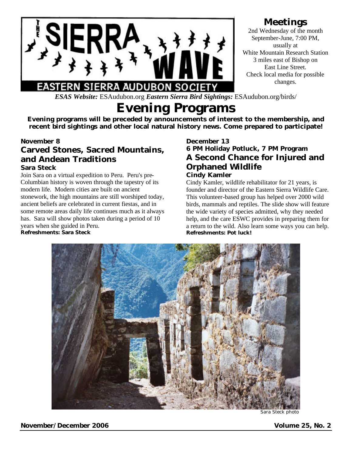

## **Meetings**

2nd Wednesday of the month September-June, 7:00 PM, usually at White Mountain Research Station 3 miles east of Bishop on East Line Street. Check local media for possible changes.

*ESAS Website:* ESAudubon.org *Eastern Sierra Bird Sightings:* ESAudubon.org/birds/

# **Evening Programs**

**Evening programs will be preceded by announcements of interest to the membership, and recent bird sightings and other local natural history news. Come prepared to participate!**

#### **November 8**

### **Carved Stones, Sacred Mountains, and Andean Traditions Sara Steck**

Join Sara on a virtual expedition to Peru. Peru's pre-Columbian history is woven through the tapestry of its modern life. Modern cities are built on ancient stonework, the high mountains are still worshiped today, ancient beliefs are celebrated in current fiestas, and in some remote areas daily life continues much as it always has. Sara will show photos taken during a period of 10 years when she guided in Peru. **Refreshments: Sara Steck**

#### **December 13 6 PM Holiday Potluck, 7 PM Program A Second Chance for Injured and Orphaned Wildlife Cindy Kamler**

Cindy Kamler, wildlife rehabilitator for 21 years, is founder and director of the Eastern Sierra Wildlife Care. This volunteer-based group has helped over 2000 wild birds, mammals and reptiles. The slide show will feature the wide variety of species admitted, why they needed help, and the care ESWC provides in preparing them for a return to the wild. Also learn some ways you can help. **Refreshments: Pot luck!**



Sara Steck photo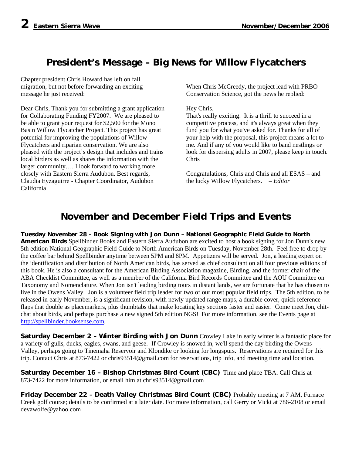# **President's Message – Big News for Willow Flycatchers**

Chapter president Chris Howard has left on fall migration, but not before forwarding an exciting message he just received:

Dear Chris, Thank you for submitting a grant application for Collaborating Funding FY2007. We are pleased to be able to grant your request for \$2,500 for the Mono Basin Willow Flycatcher Project. This project has great potential for improving the populations of Willow Flycatchers and riparian conservation. We are also pleased with the project's design that includes and trains local birders as well as shares the information with the larger community…. I look forward to working more closely with Eastern Sierra Audubon. Best regards, Claudia Eyzaguirre - Chapter Coordinator, Audubon California

When Chris McCreedy, the project lead with PRBO Conservation Science, got the news he replied:

#### Hey Chris,

That's really exciting. It is a thrill to succeed in a competitive process, and it's always great when they fund you for what you've asked for. Thanks for all of your help with the proposal, this project means a lot to me. And if any of you would like to band nestlings or look for dispersing adults in 2007, please keep in touch. Chris

Congratulations, Chris and Chris and all ESAS – and the lucky Willow Flycatchers. – *Editor*

# **November and December Field Trips and Events**

**Tuesday November 28 – Book Signing with Jon Dunn – National Geographic Field Guide to North American Birds** Spellbinder Books and Eastern Sierra Audubon are excited to host a book signing for Jon Dunn's new 5th edition National Geographic Field Guide to North American Birds on Tuesday, November 28th. Feel free to drop by the coffee bar behind Spellbinder anytime between 5PM and 8PM. Appetizers will be served. Jon, a leading expert on the identification and distribution of North American birds, has served as chief consultant on all four previous editions of this book. He is also a consultant for the American Birding Association magazine, Birding, and the former chair of the ABA Checklist Committee, as well as a member of the California Bird Records Committee and the AOU Committee on Taxonomy and Nomenclature. When Jon isn't leading birding tours in distant lands, we are fortunate that he has chosen to live in the Owens Valley. Jon is a volunteer field trip leader for two of our most popular field trips. The 5th edition, to be released in early November, is a significant revision, with newly updated range maps, a durable cover, quick-reference flaps that double as placemarkers, plus thumbtabs that make locating key sections faster and easier. Come meet Jon, chitchat about birds, and perhaps purchase a new signed 5th edition NGS! For more information, see the Events page at http://spellbinder.booksense.com.

**Saturday December 2 – Winter Birding with Jon Dunn** Crowley Lake in early winter is a fantastic place for a variety of gulls, ducks, eagles, swans, and geese. If Crowley is snowed in, we'll spend the day birding the Owens Valley, perhaps going to Tinemaha Reservoir and Klondike or looking for longspurs. Reservations are required for this trip. Contact Chris at 873-7422 or chris93514@gmail.com for reservations, trip info, and meeting time and location.

**Saturday December 16 – Bishop Christmas Bird Count (CBC)** Time and place TBA. Call Chris at 873-7422 for more information, or email him at chris93514@gmail.com

**Friday December 22 – Death Valley Christmas Bird Count (CBC)** Probably meeting at 7 AM, Furnace Creek golf course; details to be confirmed at a later date. For more information, call Gerry or Vicki at 786-2108 or email devawolfe@yahoo.com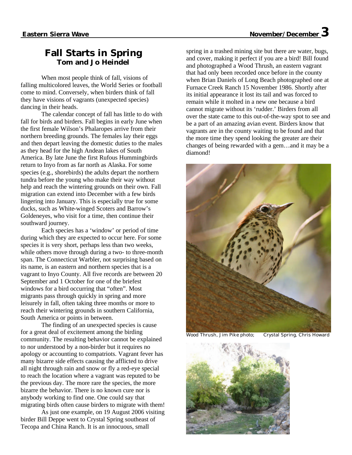## **Fall Starts in Spring Tom and Jo Heindel**

When most people think of fall, visions of falling multicolored leaves, the World Series or football come to mind. Conversely, when birders think of fall they have visions of vagrants (unexpected species) dancing in their heads.

The calendar concept of fall has little to do with fall for birds and birders. Fall begins in early June when the first female Wilson's Phalaropes arrive from their northern breeding grounds. The females lay their eggs and then depart leaving the domestic duties to the males as they head for the high Andean lakes of South America. By late June the first Rufous Hummingbirds return to Inyo from as far north as Alaska. For some species (e.g., shorebirds) the adults depart the northern tundra before the young who make their way without help and reach the wintering grounds on their own. Fall migration can extend into December with a few birds lingering into January. This is especially true for some ducks, such as White-winged Scoters and Barrow's Goldeneyes, who visit for a time, then continue their southward journey.

Each species has a 'window' or period of time during which they are expected to occur here. For some species it is very short, perhaps less than two weeks, while others move through during a two- to three-month span. The Connecticut Warbler, not surprising based on its name, is an eastern and northern species that is a vagrant to Inyo County. All five records are between 20 September and 1 October for one of the briefest windows for a bird occurring that "often". Most migrants pass through quickly in spring and more leisurely in fall, often taking three months or more to reach their wintering grounds in southern California, South America or points in between.

The finding of an unexpected species is cause for a great deal of excitement among the birding community. The resulting behavior cannot be explained to nor understood by a non-birder but it requires no apology or accounting to compatriots. Vagrant fever has many bizarre side effects causing the afflicted to drive all night through rain and snow or fly a red-eye special to reach the location where a vagrant was reputed to be the previous day. The more rare the species, the more bizarre the behavior. There is no known cure nor is anybody working to find one. One could say that migrating birds often cause birders to migrate with them!

As just one example, on 19 August 2006 visiting birder Bill Deppe went to Crystal Spring southeast of Tecopa and China Ranch. It is an innocuous, small

spring in a trashed mining site but there are water, bugs, and cover, making it perfect if you are a bird! Bill found and photographed a Wood Thrush, an eastern vagrant that had only been recorded once before in the county when Brian Daniels of Long Beach photographed one at Furnace Creek Ranch 15 November 1986. Shortly after its initial appearance it lost its tail and was forced to remain while it molted in a new one because a bird cannot migrate without its 'rudder.' Birders from all over the state came to this out-of-the-way spot to see and be a part of an amazing avian event. Birders know that vagrants are in the county waiting to be found and that the more time they spend looking the greater are their changes of being rewarded with a gem…and it may be a diamond!



Wood Thrush, Jim Pike photo; Crystal Spring, Chris Howard

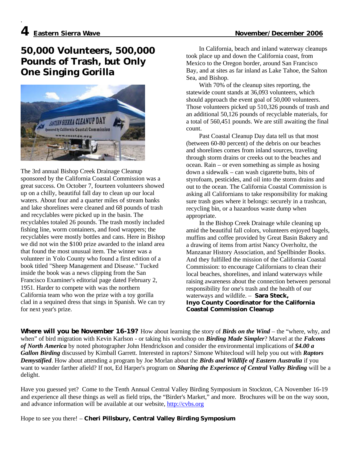.

# **50,000 Volunteers, 500,000 Pounds of Trash, but Only One Singing Gorilla**



The 3rd annual Bishop Creek Drainage Cleanup sponsored by the California Coastal Commission was a great success. On October 7, fourteen volunteers showed up on a chilly, beautiful fall day to clean up our local waters. About four and a quarter miles of stream banks and lake shorelines were cleaned and 68 pounds of trash and recyclables were picked up in the basin. The recyclables totaled 26 pounds. The trash mostly included fishing line, worm containers, and food wrappers; the recyclables were mostly bottles and cans. Here in Bishop we did not win the \$100 prize awarded to the inland area that found the most unusual item. The winner was a volunteer in Yolo County who found a first edition of a book titled "Sheep Management and Disease." Tucked inside the book was a news clipping from the San Francisco Examiner's editorial page dated February 2, 1951. Harder to compete with was the northern California team who won the prize with a toy gorilla clad in a sequined dress that sings in Spanish. We can try for next year's prize.

 In California, beach and inland waterway cleanups took place up and down the California coast, from Mexico to the Oregon border, around San Francisco Bay, and at sites as far inland as Lake Tahoe, the Salton Sea, and Bishop.

 With 70% of the cleanup sites reporting, the statewide count stands at 36,093 volunteers, which should approach the event goal of 50,000 volunteers. Those volunteers picked up 510,326 pounds of trash and an additional 50,126 pounds of recyclable materials, for a total of 560,451 pounds. We are still awaiting the final count.

 Past Coastal Cleanup Day data tell us that most (between 60-80 percent) of the debris on our beaches and shorelines comes from inland sources, traveling through storm drains or creeks out to the beaches and ocean. Rain – or even something as simple as hosing down a sidewalk – can wash cigarette butts, bits of styrofoam, pesticides, and oil into the storm drains and out to the ocean. The California Coastal Commission is asking all Californians to take responsibility for making sure trash goes where it belongs: securely in a trashcan, recycling bin, or a hazardous waste dump when appropriate.

 In the Bishop Creek Drainage while cleaning up amid the beautiful fall colors, volunteers enjoyed bagels, muffins and coffee provided by Great Basin Bakery and a drawing of items from artist Nancy Overholtz, the Manzanar History Association, and Spellbinder Books. And they fulfilled the mission of the California Coastal Commission: to encourage Californians to clean their local beaches, shorelines, and inland waterways while raising awareness about the connection between personal responsibility for one's trash and the health of our waterways and wildlife. – **Sara Steck, Inyo County Coordinator for the California Coastal Commission Cleanup**

**Where will you be November 16-19?** How about learning the story of *Birds on the Wind* – the "where, why, and when" of bird migration with Kevin Karlson - or taking his workshop on *Birding Made Simpler*? Marvel at the *Falcons of North America* by noted photographer John Hendrickson and consider the environmental implications of *\$4.00 a Gallon Birding* discussed by Kimball Garrett. Interested in raptors? Simone Whitecloud will help you out with *Raptors Demystified*. How about attending a program by Joe Morlan about the *Birds and Wildlife of Eastern Australia* if you want to wander farther afield? If not, Ed Harper's program on *Sharing the Experience of Central Valley Birding* will be a delight.

Have you guessed yet? Come to the Tenth Annual Central Valley Birding Symposium in Stockton, CA November 16-19 and experience all these things as well as field trips, the "Birder's Market," and more. Brochures will be on the way soon, and advance information will be available at our website, http://cvbs.org

Hope to see you there! – **Cheri Pillsbury, Central Valley Birding Symposium**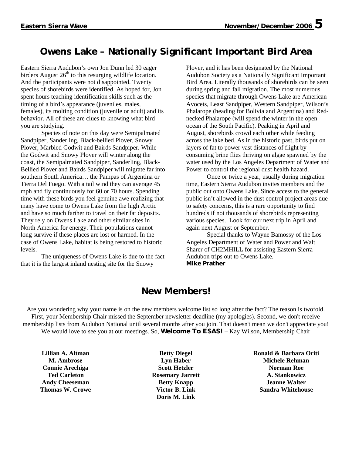# **Owens Lake – Nationally Significant Important Bird Area**

Eastern Sierra Audubon's own Jon Dunn led 30 eager birders August  $26<sup>th</sup>$  to this resurging wildlife location. And the participants were not disappointed. Twenty species of shorebirds were identified. As hoped for, Jon spent hours teaching identification skills such as the timing of a bird's appearance (juveniles, males, females), its molting condition (juvenile or adult) and its behavior. All of these are clues to knowing what bird you are studying.

Species of note on this day were Semipalmated Sandpiper, Sanderling, Black-bellied Plover, Snowy Plover, Marbled Godwit and Bairds Sandpiper. While the Godwit and Snowy Plover will winter along the coast, the Semipalmated Sandpiper, Sanderling, Black-Bellied Plover and Bairds Sandpiper will migrate far into southern South America… the Pampas of Argentina or Tierra Del Fuego. With a tail wind they can average 45 mph and fly continuously for 60 or 70 hours. Spending time with these birds you feel genuine awe realizing that many have come to Owens Lake from the high Arctic and have so much farther to travel on their fat deposits. They rely on Owens Lake and other similar sites in North America for energy. Their populations cannot long survive if these places are lost or harmed. In the case of Owens Lake, habitat is being restored to historic levels.

The uniqueness of Owens Lake is due to the fact that it is the largest inland nesting site for the Snowy

Plover, and it has been designated by the National Audubon Society as a Nationally Significant Important Bird Area. Literally thousands of shorebirds can be seen during spring and fall migration. The most numerous species that migrate through Owens Lake are American Avocets, Least Sandpiper, Western Sandpiper, Wilson's Phalarope (heading for Bolivia and Argentina) and Rednecked Phalarope (will spend the winter in the open ocean of the South Pacific). Peaking in April and August, shorebirds crowd each other while feeding across the lake bed. As in the historic past, birds put on layers of fat to power vast distances of flight by consuming brine flies thriving on algae spawned by the water used by the Los Angeles Department of Water and Power to control the regional dust health hazard.

Once or twice a year, usually during migration time, Eastern Sierra Audubon invites members and the public out onto Owens Lake. Since access to the general public isn't allowed in the dust control project areas due to safety concerns, this is a rare opportunity to find hundreds if not thousands of shorebirds representing various species. Look for our next trip in April and again next August or September.

Special thanks to Wayne Bamossy of the Los Angeles Department of Water and Power and Walt Sharer of CH2MHILL for assisting Eastern Sierra Audubon trips out to Owens Lake. **Mike Prather**

## **New Members!**

Are you wondering why your name is on the new members welcome list so long after the fact? The reason is twofold. First, your Membership Chair missed the September newsletter deadline (my apologies). Second, we don't receive membership lists from Audubon National until several months after you join. That doesn't mean we don't appreciate you! We would love to see you at our meetings. So, **Welcome To ESAS!** – Kay Wilson, Membership Chair

**Lillian A. Altman M. Ambrose Connie Arechiga Ted Carleton Andy Cheeseman Thomas W. Crowe**

**Betty Diegel Lyn Haber Scott Hetzler Rosemary Jarrett Betty Knapp Victor B. Link Doris M. Link**

**Ronald & Barbara Oriti Michele Rehman Norman Roe A. Stankowicz Jeanne Walter Sandra Whitehouse**